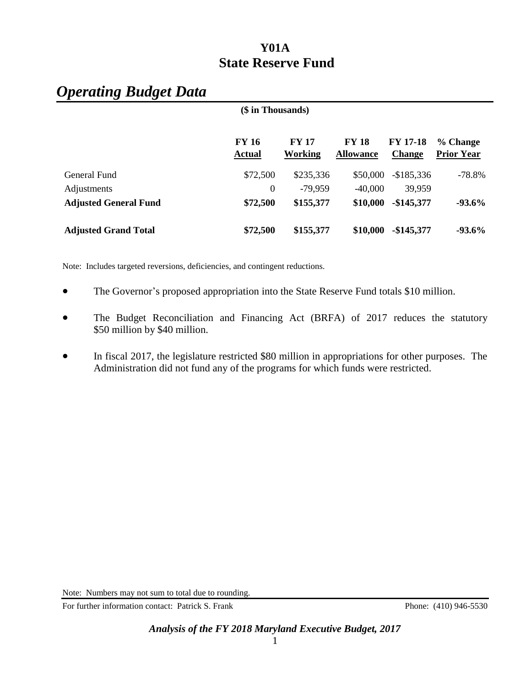# *Operating Budget Data*

| (\$ in Thousands)            |                               |                                |                                  |                                  |                               |
|------------------------------|-------------------------------|--------------------------------|----------------------------------|----------------------------------|-------------------------------|
|                              | <b>FY 16</b><br><b>Actual</b> | <b>FY 17</b><br><b>Working</b> | <b>FY 18</b><br><b>Allowance</b> | <b>FY 17-18</b><br><b>Change</b> | % Change<br><b>Prior Year</b> |
| General Fund                 | \$72,500                      | \$235,336                      | \$50,000                         | $-$185,336$                      | $-78.8\%$                     |
| Adjustments                  | $\boldsymbol{0}$              | $-79,959$                      | $-40,000$                        | 39,959                           |                               |
| <b>Adjusted General Fund</b> | \$72,500                      | \$155,377                      | \$10,000                         | $-$145,377$                      | $-93.6\%$                     |
| <b>Adjusted Grand Total</b>  | \$72,500                      | \$155,377                      | \$10,000                         | $-$145,377$                      | $-93.6\%$                     |

Note: Includes targeted reversions, deficiencies, and contingent reductions.

- The Governor's proposed appropriation into the State Reserve Fund totals \$10 million.
- The Budget Reconciliation and Financing Act (BRFA) of 2017 reduces the statutory \$50 million by \$40 million.
- In fiscal 2017, the legislature restricted \$80 million in appropriations for other purposes. The Administration did not fund any of the programs for which funds were restricted.

Note: Numbers may not sum to total due to rounding.

For further information contact: Patrick S. Frank Phone: (410) 946-5530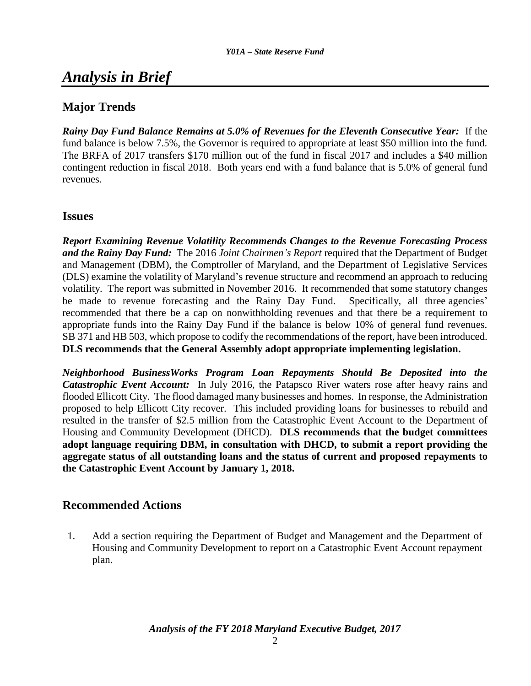# *Analysis in Brief*

### **Major Trends**

*Rainy Day Fund Balance Remains at 5.0% of Revenues for the Eleventh Consecutive Year:* If the fund balance is below 7.5%, the Governor is required to appropriate at least \$50 million into the fund. The BRFA of 2017 transfers \$170 million out of the fund in fiscal 2017 and includes a \$40 million contingent reduction in fiscal 2018. Both years end with a fund balance that is 5.0% of general fund revenues.

### **Issues**

*Report Examining Revenue Volatility Recommends Changes to the Revenue Forecasting Process and the Rainy Day Fund:* The 2016 *Joint Chairmen's Report* required that the Department of Budget and Management (DBM), the Comptroller of Maryland, and the Department of Legislative Services (DLS) examine the volatility of Maryland's revenue structure and recommend an approach to reducing volatility. The report was submitted in November 2016. It recommended that some statutory changes be made to revenue forecasting and the Rainy Day Fund. Specifically, all three agencies' recommended that there be a cap on nonwithholding revenues and that there be a requirement to appropriate funds into the Rainy Day Fund if the balance is below 10% of general fund revenues. SB 371 and HB 503, which propose to codify the recommendations of the report, have been introduced. **DLS recommends that the General Assembly adopt appropriate implementing legislation.** 

*Neighborhood BusinessWorks Program Loan Repayments Should Be Deposited into the Catastrophic Event Account:* In July 2016, the Patapsco River waters rose after heavy rains and flooded Ellicott City. The flood damaged many businesses and homes. In response, the Administration proposed to help Ellicott City recover. This included providing loans for businesses to rebuild and resulted in the transfer of \$2.5 million from the Catastrophic Event Account to the Department of Housing and Community Development (DHCD). **DLS recommends that the budget committees adopt language requiring DBM, in consultation with DHCD, to submit a report providing the aggregate status of all outstanding loans and the status of current and proposed repayments to the Catastrophic Event Account by January 1, 2018.** 

### **Recommended Actions**

1. Add a section requiring the Department of Budget and Management and the Department of Housing and Community Development to report on a Catastrophic Event Account repayment plan.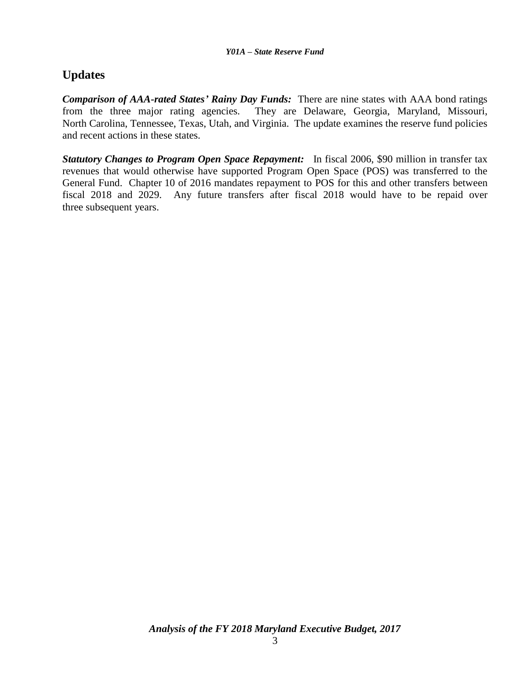# **Updates**

*Comparison of AAA-rated States' Rainy Day Funds:* There are nine states with AAA bond ratings from the three major rating agencies. They are Delaware, Georgia, Maryland, Missouri, North Carolina, Tennessee, Texas, Utah, and Virginia. The update examines the reserve fund policies and recent actions in these states.

*Statutory Changes to Program Open Space Repayment:* In fiscal 2006, \$90 million in transfer tax revenues that would otherwise have supported Program Open Space (POS) was transferred to the General Fund. Chapter 10 of 2016 mandates repayment to POS for this and other transfers between fiscal 2018 and 2029. Any future transfers after fiscal 2018 would have to be repaid over three subsequent years.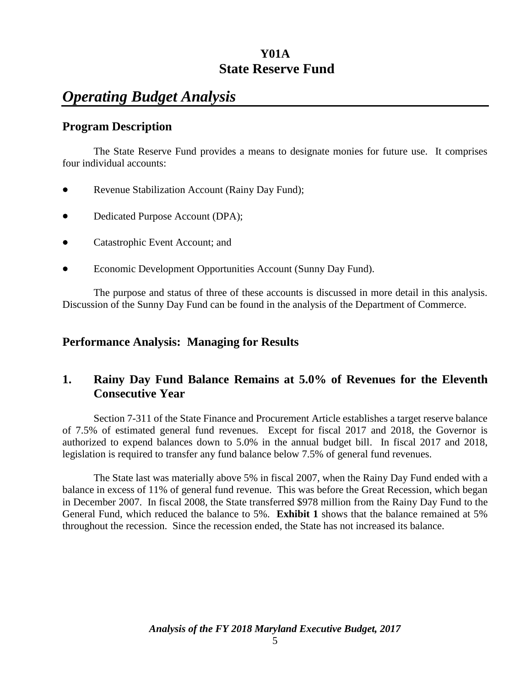# *Operating Budget Analysis*

### **Program Description**

The State Reserve Fund provides a means to designate monies for future use. It comprises four individual accounts:

- Revenue Stabilization Account (Rainy Day Fund);
- Dedicated Purpose Account (DPA);
- Catastrophic Event Account; and
- Economic Development Opportunities Account (Sunny Day Fund).

The purpose and status of three of these accounts is discussed in more detail in this analysis. Discussion of the Sunny Day Fund can be found in the analysis of the Department of Commerce.

### **Performance Analysis: Managing for Results**

### **1. Rainy Day Fund Balance Remains at 5.0% of Revenues for the Eleventh Consecutive Year**

Section 7-311 of the State Finance and Procurement Article establishes a target reserve balance of 7.5% of estimated general fund revenues. Except for fiscal 2017 and 2018, the Governor is authorized to expend balances down to 5.0% in the annual budget bill. In fiscal 2017 and 2018, legislation is required to transfer any fund balance below 7.5% of general fund revenues.

The State last was materially above 5% in fiscal 2007, when the Rainy Day Fund ended with a balance in excess of 11% of general fund revenue. This was before the Great Recession, which began in December 2007. In fiscal 2008, the State transferred \$978 million from the Rainy Day Fund to the General Fund, which reduced the balance to 5%. **Exhibit 1** shows that the balance remained at 5% throughout the recession. Since the recession ended, the State has not increased its balance.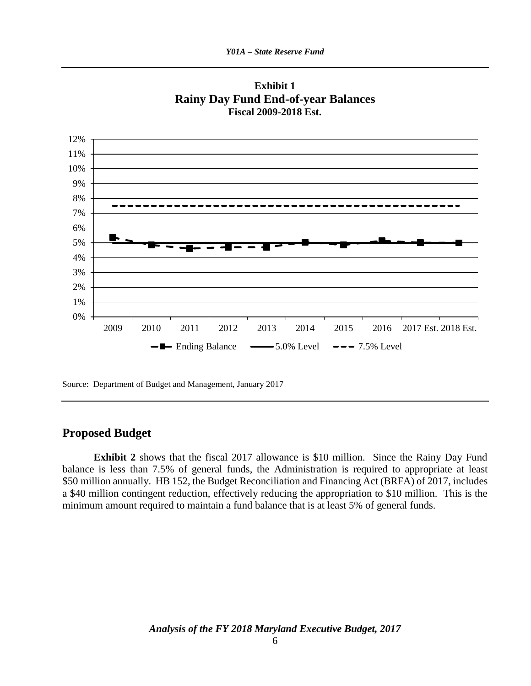



Source: Department of Budget and Management, January 2017

### **Proposed Budget**

**Exhibit 2** shows that the fiscal 2017 allowance is \$10 million. Since the Rainy Day Fund balance is less than 7.5% of general funds, the Administration is required to appropriate at least \$50 million annually. HB 152, the Budget Reconciliation and Financing Act (BRFA) of 2017, includes a \$40 million contingent reduction, effectively reducing the appropriation to \$10 million. This is the minimum amount required to maintain a fund balance that is at least 5% of general funds.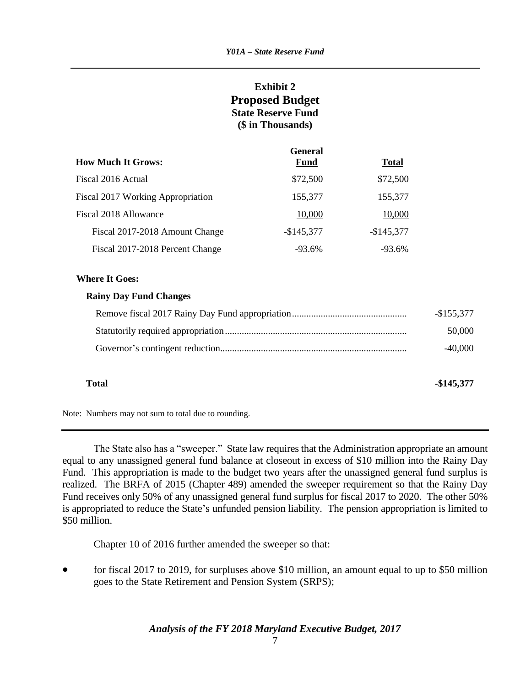### **Exhibit 2 Proposed Budget State Reserve Fund (\$ in Thousands)**

|                                          | <b>General</b> |              |
|------------------------------------------|----------------|--------------|
| <b>How Much It Grows:</b>                | <b>Fund</b>    | <b>Total</b> |
| Fiscal 2016 Actual                       | \$72,500       | \$72,500     |
| <b>Fiscal 2017 Working Appropriation</b> | 155,377        | 155,377      |
| Fiscal 2018 Allowance                    | 10,000         | 10,000       |
| Fiscal 2017-2018 Amount Change           | $-$145,377$    | $-$145,377$  |
| Fiscal 2017-2018 Percent Change          | $-93.6%$       | $-93.6\%$    |

#### **Where It Goes:**

#### **Rainy Day Fund Changes**

| $-$155,377$ |
|-------------|
| 50,000      |
| $-40.000$   |

**Total -\$145,377**

Note: Numbers may not sum to total due to rounding.

The State also has a "sweeper." State law requires that the Administration appropriate an amount equal to any unassigned general fund balance at closeout in excess of \$10 million into the Rainy Day Fund. This appropriation is made to the budget two years after the unassigned general fund surplus is realized. The BRFA of 2015 (Chapter 489) amended the sweeper requirement so that the Rainy Day Fund receives only 50% of any unassigned general fund surplus for fiscal 2017 to 2020. The other 50% is appropriated to reduce the State's unfunded pension liability. The pension appropriation is limited to \$50 million.

Chapter 10 of 2016 further amended the sweeper so that:

• for fiscal 2017 to 2019, for surpluses above \$10 million, an amount equal to up to \$50 million goes to the State Retirement and Pension System (SRPS);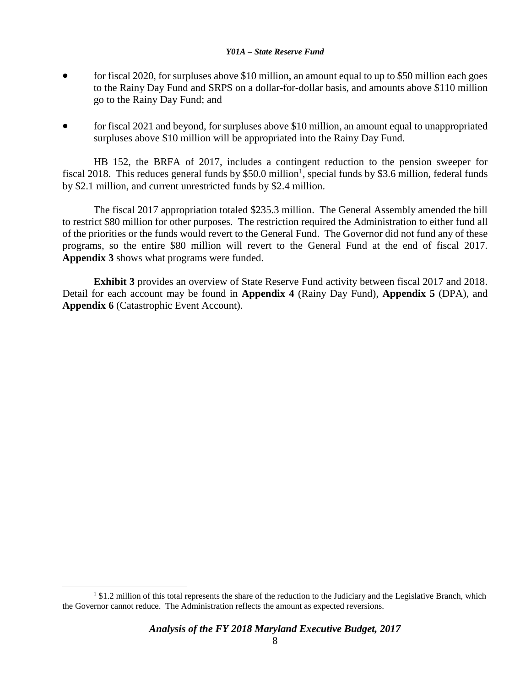- for fiscal 2020, for surpluses above \$10 million, an amount equal to up to \$50 million each goes to the Rainy Day Fund and SRPS on a dollar-for-dollar basis, and amounts above \$110 million go to the Rainy Day Fund; and
- for fiscal 2021 and beyond, for surpluses above \$10 million, an amount equal to unappropriated surpluses above \$10 million will be appropriated into the Rainy Day Fund.

HB 152, the BRFA of 2017, includes a contingent reduction to the pension sweeper for fiscal 2018. This reduces general funds by  $$50.0$  million<sup>1</sup>, special funds by \$3.6 million, federal funds by \$2.1 million, and current unrestricted funds by \$2.4 million.

The fiscal 2017 appropriation totaled \$235.3 million. The General Assembly amended the bill to restrict \$80 million for other purposes. The restriction required the Administration to either fund all of the priorities or the funds would revert to the General Fund. The Governor did not fund any of these programs, so the entire \$80 million will revert to the General Fund at the end of fiscal 2017. **Appendix 3** shows what programs were funded.

**Exhibit 3** provides an overview of State Reserve Fund activity between fiscal 2017 and 2018. Detail for each account may be found in **Appendix 4** (Rainy Day Fund), **Appendix 5** (DPA), and **Appendix 6** (Catastrophic Event Account).

 $\overline{a}$ 

<sup>&</sup>lt;sup>1</sup> \$1.2 million of this total represents the share of the reduction to the Judiciary and the Legislative Branch, which the Governor cannot reduce. The Administration reflects the amount as expected reversions.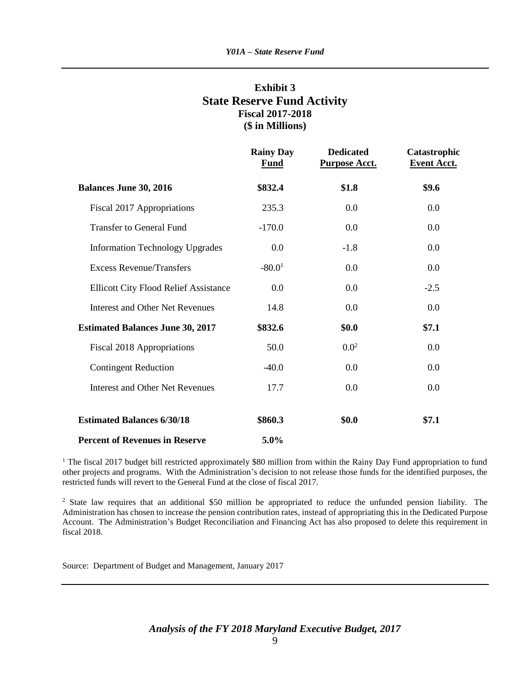### **Exhibit 3 State Reserve Fund Activity Fiscal 2017-2018 (\$ in Millions)**

|                                              | <b>Rainy Day</b><br><b>Fund</b> | <b>Dedicated</b><br><b>Purpose Acct.</b> | Catastrophic<br><b>Event Acct.</b> |
|----------------------------------------------|---------------------------------|------------------------------------------|------------------------------------|
| <b>Balances June 30, 2016</b>                | \$832.4                         | \$1.8                                    | \$9.6                              |
| Fiscal 2017 Appropriations                   | 235.3                           | 0.0                                      | 0.0                                |
| <b>Transfer to General Fund</b>              | $-170.0$                        | 0.0                                      | 0.0                                |
| <b>Information Technology Upgrades</b>       | 0.0                             | $-1.8$                                   | 0.0                                |
| <b>Excess Revenue/Transfers</b>              | $-80.01$                        | 0.0                                      | 0.0                                |
| <b>Ellicott City Flood Relief Assistance</b> | 0.0                             | 0.0                                      | $-2.5$                             |
| <b>Interest and Other Net Revenues</b>       | 14.8                            | 0.0                                      | 0.0                                |
| <b>Estimated Balances June 30, 2017</b>      | \$832.6                         | \$0.0                                    | \$7.1                              |
| Fiscal 2018 Appropriations                   | 50.0                            | $0.0^{2}$                                | 0.0                                |
| <b>Contingent Reduction</b>                  | $-40.0$                         | 0.0                                      | 0.0                                |
| <b>Interest and Other Net Revenues</b>       | 17.7                            | 0.0                                      | 0.0                                |
| <b>Estimated Balances 6/30/18</b>            | \$860.3                         | \$0.0                                    | \$7.1                              |
| <b>Percent of Revenues in Reserve</b>        | 5.0%                            |                                          |                                    |

<sup>1</sup> The fiscal 2017 budget bill restricted approximately \$80 million from within the Rainy Day Fund appropriation to fund other projects and programs. With the Administration's decision to not release those funds for the identified purposes, the restricted funds will revert to the General Fund at the close of fiscal 2017.

<sup>2</sup> State law requires that an additional \$50 million be appropriated to reduce the unfunded pension liability. The Administration has chosen to increase the pension contribution rates, instead of appropriating this in the Dedicated Purpose Account. The Administration's Budget Reconciliation and Financing Act has also proposed to delete this requirement in fiscal 2018.

Source: Department of Budget and Management, January 2017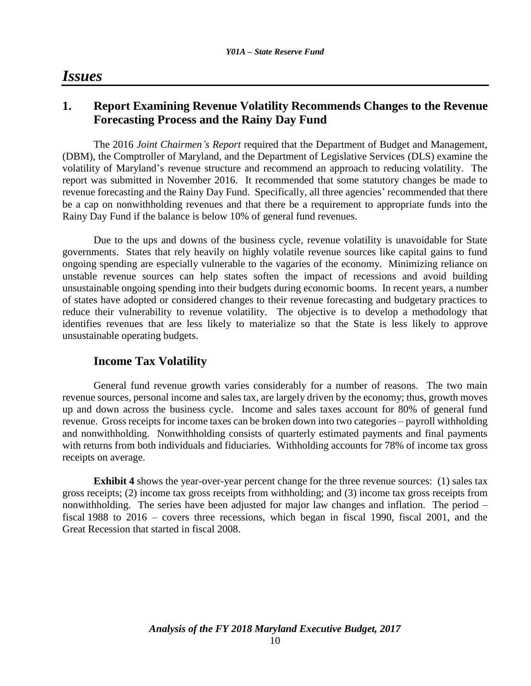## *Issues*

### **1. Report Examining Revenue Volatility Recommends Changes to the Revenue Forecasting Process and the Rainy Day Fund**

The 2016 *Joint Chairmen's Report* required that the Department of Budget and Management, (DBM), the Comptroller of Maryland, and the Department of Legislative Services (DLS) examine the volatility of Maryland's revenue structure and recommend an approach to reducing volatility. The report was submitted in November 2016. It recommended that some statutory changes be made to revenue forecasting and the Rainy Day Fund. Specifically, all three agencies' recommended that there be a cap on nonwithholding revenues and that there be a requirement to appropriate funds into the Rainy Day Fund if the balance is below 10% of general fund revenues.

Due to the ups and downs of the business cycle, revenue volatility is unavoidable for State governments. States that rely heavily on highly volatile revenue sources like capital gains to fund ongoing spending are especially vulnerable to the vagaries of the economy. Minimizing reliance on unstable revenue sources can help states soften the impact of recessions and avoid building unsustainable ongoing spending into their budgets during economic booms. In recent years, a number of states have adopted or considered changes to their revenue forecasting and budgetary practices to reduce their vulnerability to revenue volatility. The objective is to develop a methodology that identifies revenues that are less likely to materialize so that the State is less likely to approve unsustainable operating budgets.

### **Income Tax Volatility**

General fund revenue growth varies considerably for a number of reasons. The two main revenue sources, personal income and sales tax, are largely driven by the economy; thus, growth moves up and down across the business cycle. Income and sales taxes account for 80% of general fund revenue. Gross receipts for income taxes can be broken down into two categories – payroll withholding and nonwithholding. Nonwithholding consists of quarterly estimated payments and final payments with returns from both individuals and fiduciaries. Withholding accounts for 78% of income tax gross receipts on average.

**Exhibit 4** shows the year-over-year percent change for the three revenue sources: (1) sales tax gross receipts; (2) income tax gross receipts from withholding; and (3) income tax gross receipts from nonwithholding. The series have been adjusted for major law changes and inflation. The period – fiscal 1988 to 2016 – covers three recessions, which began in fiscal 1990, fiscal 2001, and the Great Recession that started in fiscal 2008.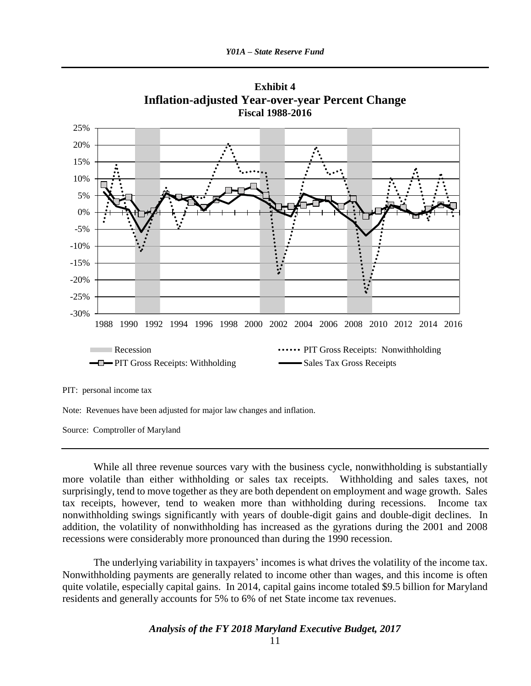

**Exhibit 4 Inflation-adjusted Year-over-year Percent Change**

PIT: personal income tax

Note: Revenues have been adjusted for major law changes and inflation.

Source: Comptroller of Maryland

While all three revenue sources vary with the business cycle, nonwithholding is substantially more volatile than either withholding or sales tax receipts. Withholding and sales taxes, not surprisingly, tend to move together as they are both dependent on employment and wage growth. Sales tax receipts, however, tend to weaken more than withholding during recessions. Income tax nonwithholding swings significantly with years of double-digit gains and double-digit declines. In addition, the volatility of nonwithholding has increased as the gyrations during the 2001 and 2008 recessions were considerably more pronounced than during the 1990 recession.

The underlying variability in taxpayers' incomes is what drives the volatility of the income tax. Nonwithholding payments are generally related to income other than wages, and this income is often quite volatile, especially capital gains. In 2014, capital gains income totaled \$9.5 billion for Maryland residents and generally accounts for 5% to 6% of net State income tax revenues.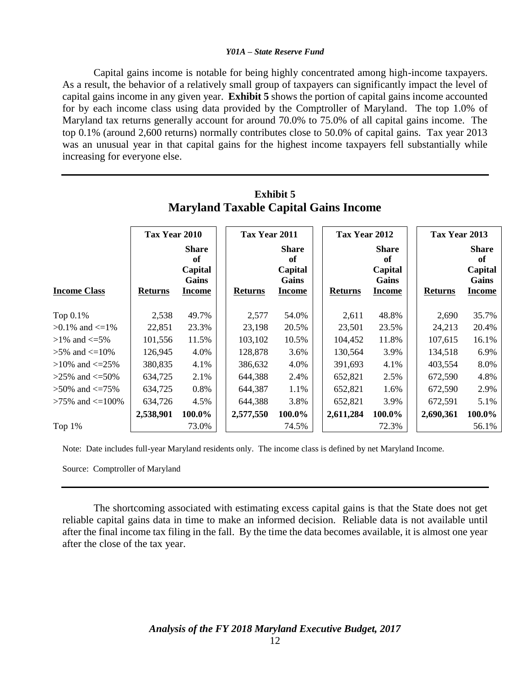Capital gains income is notable for being highly concentrated among high-income taxpayers. As a result, the behavior of a relatively small group of taxpayers can significantly impact the level of capital gains income in any given year. **Exhibit 5** shows the portion of capital gains income accounted for by each income class using data provided by the Comptroller of Maryland. The top 1.0% of Maryland tax returns generally account for around 70.0% to 75.0% of all capital gains income. The top 0.1% (around 2,600 returns) normally contributes close to 50.0% of capital gains. Tax year 2013 was an unusual year in that capital gains for the highest income taxpayers fell substantially while increasing for everyone else.

|                          |                                 |                                                         | Tax Year 2011 |                |                                                         |  | Tax Year 2012  |                                                         |  | Tax Year 2013  |                                                         |
|--------------------------|---------------------------------|---------------------------------------------------------|---------------|----------------|---------------------------------------------------------|--|----------------|---------------------------------------------------------|--|----------------|---------------------------------------------------------|
| <b>Income Class</b>      | Tax Year 2010<br><b>Returns</b> | <b>Share</b><br>of<br>Capital<br>Gains<br><b>Income</b> |               | <b>Returns</b> | <b>Share</b><br>of<br>Capital<br>Gains<br><b>Income</b> |  | <b>Returns</b> | <b>Share</b><br>of<br>Capital<br>Gains<br><b>Income</b> |  | <b>Returns</b> | <b>Share</b><br>of<br>Capital<br>Gains<br><b>Income</b> |
| Top 0.1%                 | 2,538                           | 49.7%                                                   |               | 2,577          | 54.0%                                                   |  | 2,611          | 48.8%                                                   |  | 2,690          | 35.7%                                                   |
| $>0.1\%$ and $\leq 1\%$  | 22,851                          | 23.3%                                                   |               | 23,198         | 20.5%                                                   |  | 23,501         | 23.5%                                                   |  | 24,213         | 20.4%                                                   |
| $>1\%$ and $\leq 5\%$    | 101,556                         | 11.5%                                                   |               | 103,102        | 10.5%                                                   |  | 104,452        | 11.8%                                                   |  | 107,615        | 16.1%                                                   |
| $>5\%$ and $\leq 10\%$   | 126,945                         | 4.0%                                                    |               | 128,878        | 3.6%                                                    |  | 130,564        | 3.9%                                                    |  | 134,518        | 6.9%                                                    |
| $>10\%$ and $\leq=25\%$  | 380,835                         | 4.1%                                                    |               | 386,632        | 4.0%                                                    |  | 391,693        | 4.1%                                                    |  | 403,554        | 8.0%                                                    |
| $>25\%$ and $\leq 50\%$  | 634,725                         | 2.1%                                                    |               | 644,388        | 2.4%                                                    |  | 652,821        | 2.5%                                                    |  | 672,590        | 4.8%                                                    |
| $>50\%$ and $\leq=75\%$  | 634,725                         | 0.8%                                                    |               | 644,387        | 1.1%                                                    |  | 652,821        | 1.6%                                                    |  | 672,590        | 2.9%                                                    |
| $>75\%$ and $\leq 100\%$ | 634,726                         | 4.5%                                                    |               | 644,388        | 3.8%                                                    |  | 652,821        | 3.9%                                                    |  | 672,591        | 5.1%                                                    |
|                          | 2,538,901                       | 100.0%                                                  |               | 2,577,550      | 100.0%                                                  |  | 2,611,284      | 100.0%                                                  |  | 2,690,361      | 100.0%                                                  |
| Top $1\%$                |                                 | 73.0%                                                   |               |                | 74.5%                                                   |  |                | 72.3%                                                   |  |                | 56.1%                                                   |

### **Exhibit 5 Maryland Taxable Capital Gains Income**

Note: Date includes full-year Maryland residents only. The income class is defined by net Maryland Income.

Source: Comptroller of Maryland

The shortcoming associated with estimating excess capital gains is that the State does not get reliable capital gains data in time to make an informed decision. Reliable data is not available until after the final income tax filing in the fall. By the time the data becomes available, it is almost one year after the close of the tax year.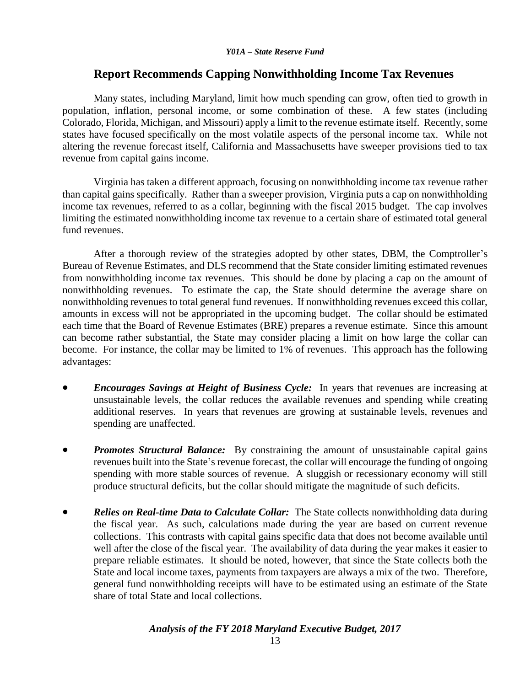### **Report Recommends Capping Nonwithholding Income Tax Revenues**

Many states, including Maryland, limit how much spending can grow, often tied to growth in population, inflation, personal income, or some combination of these. A few states (including Colorado, Florida, Michigan, and Missouri) apply a limit to the revenue estimate itself. Recently, some states have focused specifically on the most volatile aspects of the personal income tax. While not altering the revenue forecast itself, California and Massachusetts have sweeper provisions tied to tax revenue from capital gains income.

Virginia has taken a different approach, focusing on nonwithholding income tax revenue rather than capital gains specifically. Rather than a sweeper provision, Virginia puts a cap on nonwithholding income tax revenues, referred to as a collar, beginning with the fiscal 2015 budget. The cap involves limiting the estimated nonwithholding income tax revenue to a certain share of estimated total general fund revenues.

After a thorough review of the strategies adopted by other states, DBM, the Comptroller's Bureau of Revenue Estimates, and DLS recommend that the State consider limiting estimated revenues from nonwithholding income tax revenues. This should be done by placing a cap on the amount of nonwithholding revenues. To estimate the cap, the State should determine the average share on nonwithholding revenues to total general fund revenues. If nonwithholding revenues exceed this collar, amounts in excess will not be appropriated in the upcoming budget. The collar should be estimated each time that the Board of Revenue Estimates (BRE) prepares a revenue estimate. Since this amount can become rather substantial, the State may consider placing a limit on how large the collar can become. For instance, the collar may be limited to 1% of revenues. This approach has the following advantages:

- *Encourages Savings at Height of Business Cycle:* In years that revenues are increasing at unsustainable levels, the collar reduces the available revenues and spending while creating additional reserves. In years that revenues are growing at sustainable levels, revenues and spending are unaffected.
- *Promotes Structural Balance:* By constraining the amount of unsustainable capital gains revenues built into the State's revenue forecast, the collar will encourage the funding of ongoing spending with more stable sources of revenue. A sluggish or recessionary economy will still produce structural deficits, but the collar should mitigate the magnitude of such deficits.
- *Relies on Real-time Data to Calculate Collar:* The State collects nonwithholding data during the fiscal year. As such, calculations made during the year are based on current revenue collections. This contrasts with capital gains specific data that does not become available until well after the close of the fiscal year. The availability of data during the year makes it easier to prepare reliable estimates. It should be noted, however, that since the State collects both the State and local income taxes, payments from taxpayers are always a mix of the two. Therefore, general fund nonwithholding receipts will have to be estimated using an estimate of the State share of total State and local collections.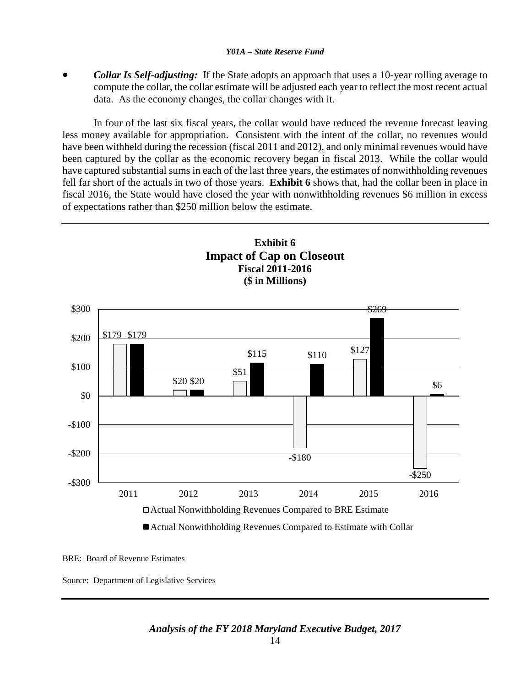*Collar Is Self-adjusting:* If the State adopts an approach that uses a 10-year rolling average to compute the collar, the collar estimate will be adjusted each year to reflect the most recent actual data. As the economy changes, the collar changes with it.

In four of the last six fiscal years, the collar would have reduced the revenue forecast leaving less money available for appropriation. Consistent with the intent of the collar, no revenues would have been withheld during the recession (fiscal 2011 and 2012), and only minimal revenues would have been captured by the collar as the economic recovery began in fiscal 2013. While the collar would have captured substantial sums in each of the last three years, the estimates of nonwithholding revenues fell far short of the actuals in two of those years. **Exhibit 6** shows that, had the collar been in place in fiscal 2016, the State would have closed the year with nonwithholding revenues \$6 million in excess of expectations rather than \$250 million below the estimate.



BRE: Board of Revenue Estimates

Source: Department of Legislative Services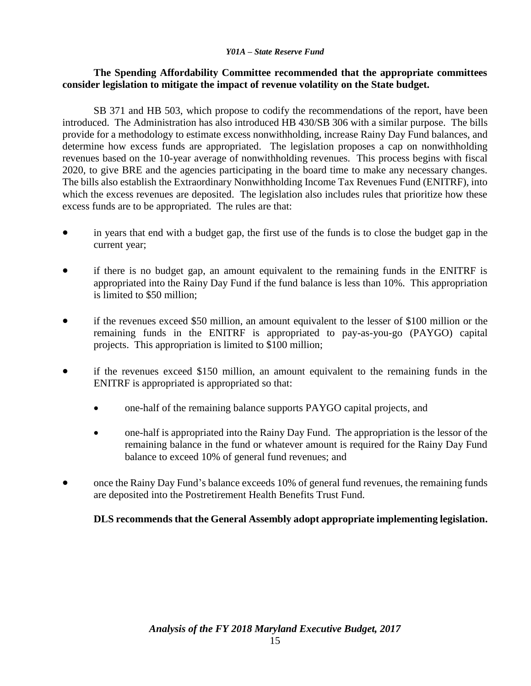### **The Spending Affordability Committee recommended that the appropriate committees consider legislation to mitigate the impact of revenue volatility on the State budget.**

SB 371 and HB 503, which propose to codify the recommendations of the report, have been introduced. The Administration has also introduced HB 430/SB 306 with a similar purpose. The bills provide for a methodology to estimate excess nonwithholding, increase Rainy Day Fund balances, and determine how excess funds are appropriated. The legislation proposes a cap on nonwithholding revenues based on the 10-year average of nonwithholding revenues. This process begins with fiscal 2020, to give BRE and the agencies participating in the board time to make any necessary changes. The bills also establish the Extraordinary Nonwithholding Income Tax Revenues Fund (ENITRF), into which the excess revenues are deposited. The legislation also includes rules that prioritize how these excess funds are to be appropriated. The rules are that:

- in years that end with a budget gap, the first use of the funds is to close the budget gap in the current year;
- if there is no budget gap, an amount equivalent to the remaining funds in the ENITRF is appropriated into the Rainy Day Fund if the fund balance is less than 10%. This appropriation is limited to \$50 million;
- if the revenues exceed \$50 million, an amount equivalent to the lesser of \$100 million or the remaining funds in the ENITRF is appropriated to pay-as-you-go (PAYGO) capital projects. This appropriation is limited to \$100 million;
- if the revenues exceed \$150 million, an amount equivalent to the remaining funds in the ENITRF is appropriated is appropriated so that:
	- one-half of the remaining balance supports PAYGO capital projects, and
	- one-half is appropriated into the Rainy Day Fund. The appropriation is the lessor of the remaining balance in the fund or whatever amount is required for the Rainy Day Fund balance to exceed 10% of general fund revenues; and
- once the Rainy Day Fund's balance exceeds 10% of general fund revenues, the remaining funds are deposited into the Postretirement Health Benefits Trust Fund.

#### **DLS recommends that the General Assembly adopt appropriate implementing legislation.**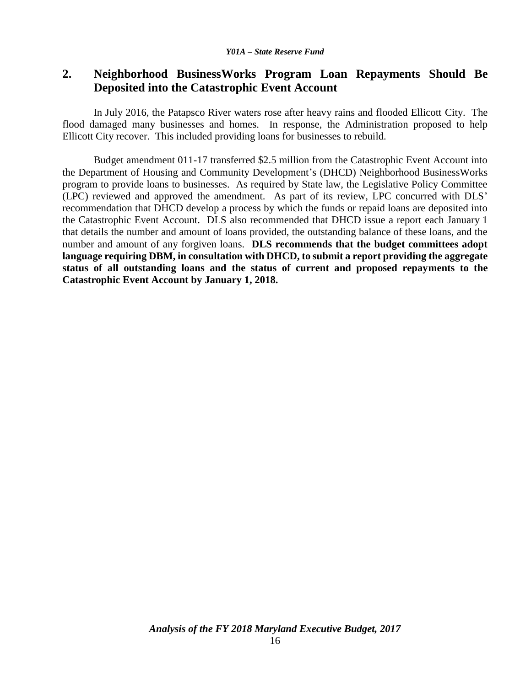### **2. Neighborhood BusinessWorks Program Loan Repayments Should Be Deposited into the Catastrophic Event Account**

In July 2016, the Patapsco River waters rose after heavy rains and flooded Ellicott City. The flood damaged many businesses and homes. In response, the Administration proposed to help Ellicott City recover. This included providing loans for businesses to rebuild.

Budget amendment 011-17 transferred \$2.5 million from the Catastrophic Event Account into the Department of Housing and Community Development's (DHCD) Neighborhood BusinessWorks program to provide loans to businesses. As required by State law, the Legislative Policy Committee (LPC) reviewed and approved the amendment. As part of its review, LPC concurred with DLS' recommendation that DHCD develop a process by which the funds or repaid loans are deposited into the Catastrophic Event Account. DLS also recommended that DHCD issue a report each January 1 that details the number and amount of loans provided, the outstanding balance of these loans, and the number and amount of any forgiven loans. **DLS recommends that the budget committees adopt language requiring DBM, in consultation with DHCD, to submit a report providing the aggregate status of all outstanding loans and the status of current and proposed repayments to the Catastrophic Event Account by January 1, 2018.**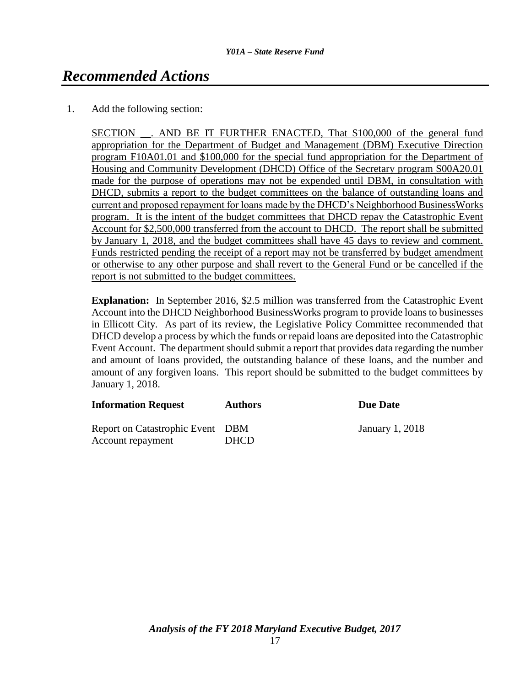# *Recommended Actions*

1. Add the following section:

SECTION \_\_. AND BE IT FURTHER ENACTED, That \$100,000 of the general fund appropriation for the Department of Budget and Management (DBM) Executive Direction program F10A01.01 and \$100,000 for the special fund appropriation for the Department of Housing and Community Development (DHCD) Office of the Secretary program S00A20.01 made for the purpose of operations may not be expended until DBM, in consultation with DHCD, submits a report to the budget committees on the balance of outstanding loans and current and proposed repayment for loans made by the DHCD's Neighborhood BusinessWorks program. It is the intent of the budget committees that DHCD repay the Catastrophic Event Account for \$2,500,000 transferred from the account to DHCD. The report shall be submitted by January 1, 2018, and the budget committees shall have 45 days to review and comment. Funds restricted pending the receipt of a report may not be transferred by budget amendment or otherwise to any other purpose and shall revert to the General Fund or be cancelled if the report is not submitted to the budget committees.

**Explanation:** In September 2016, \$2.5 million was transferred from the Catastrophic Event Account into the DHCD Neighborhood BusinessWorks program to provide loans to businesses in Ellicott City. As part of its review, the Legislative Policy Committee recommended that DHCD develop a process by which the funds or repaid loans are deposited into the Catastrophic Event Account. The department should submit a report that provides data regarding the number and amount of loans provided, the outstanding balance of these loans, and the number and amount of any forgiven loans. This report should be submitted to the budget committees by January 1, 2018.

| <b>Information Request</b>                            | <b>Authors</b> | <b>Due Date</b>        |
|-------------------------------------------------------|----------------|------------------------|
| Report on Catastrophic Event DBM<br>Account repayment | <b>DHCD</b>    | <b>January 1, 2018</b> |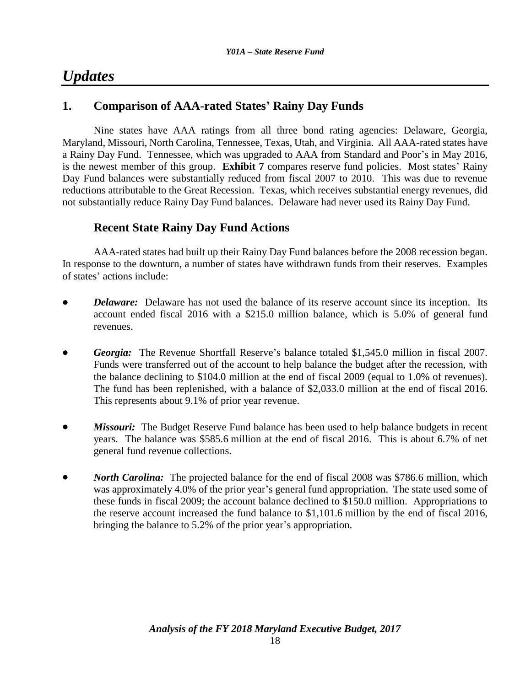# *Updates*

### **1. Comparison of AAA-rated States' Rainy Day Funds**

Nine states have AAA ratings from all three bond rating agencies: Delaware, Georgia, Maryland, Missouri, North Carolina, Tennessee, Texas, Utah, and Virginia. All AAA-rated states have a Rainy Day Fund. Tennessee, which was upgraded to AAA from Standard and Poor's in May 2016, is the newest member of this group. **Exhibit 7** compares reserve fund policies. Most states' Rainy Day Fund balances were substantially reduced from fiscal 2007 to 2010. This was due to revenue reductions attributable to the Great Recession. Texas, which receives substantial energy revenues, did not substantially reduce Rainy Day Fund balances. Delaware had never used its Rainy Day Fund.

### **Recent State Rainy Day Fund Actions**

AAA-rated states had built up their Rainy Day Fund balances before the 2008 recession began. In response to the downturn, a number of states have withdrawn funds from their reserves. Examples of states' actions include:

- *Delaware:* Delaware has not used the balance of its reserve account since its inception. Its account ended fiscal 2016 with a \$215.0 million balance, which is 5.0% of general fund revenues.
- *Georgia:* The Revenue Shortfall Reserve's balance totaled \$1,545.0 million in fiscal 2007. Funds were transferred out of the account to help balance the budget after the recession, with the balance declining to \$104.0 million at the end of fiscal 2009 (equal to 1.0% of revenues). The fund has been replenished, with a balance of \$2,033.0 million at the end of fiscal 2016. This represents about 9.1% of prior year revenue.
- *Missouri:* The Budget Reserve Fund balance has been used to help balance budgets in recent years. The balance was \$585.6 million at the end of fiscal 2016. This is about 6.7% of net general fund revenue collections.
- *North Carolina:* The projected balance for the end of fiscal 2008 was \$786.6 million, which was approximately 4.0% of the prior year's general fund appropriation. The state used some of these funds in fiscal 2009; the account balance declined to \$150.0 million. Appropriations to the reserve account increased the fund balance to \$1,101.6 million by the end of fiscal 2016, bringing the balance to 5.2% of the prior year's appropriation.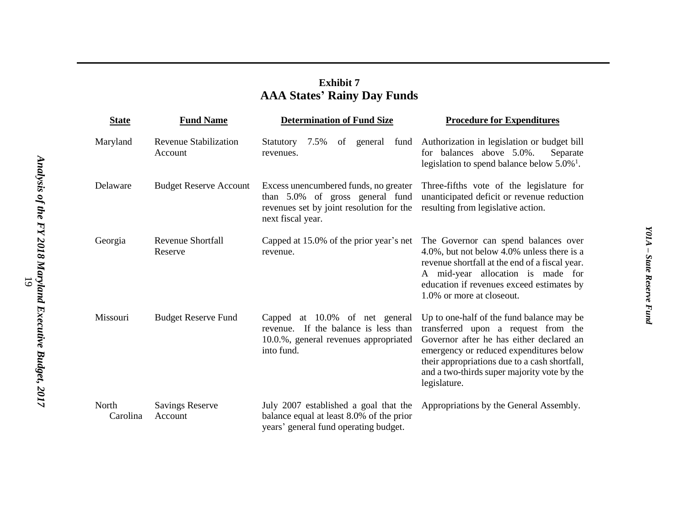### **Exhibit 7 AAA States ' Rainy Day Funds**

| <b>State</b>      | <b>Fund Name</b>                        | <b>Determination of Fund Size</b>                                                                                                         | <b>Procedure for Expenditures</b>                                                                                                                                                                                                                                                       |
|-------------------|-----------------------------------------|-------------------------------------------------------------------------------------------------------------------------------------------|-----------------------------------------------------------------------------------------------------------------------------------------------------------------------------------------------------------------------------------------------------------------------------------------|
| Maryland          | <b>Revenue Stabilization</b><br>Account | of general fund<br>Statutory 7.5%<br>revenues.                                                                                            | Authorization in legislation or budget bill<br>for balances above 5.0%.<br>Separate<br>legislation to spend balance below $5.0\%$ <sup>1</sup> .                                                                                                                                        |
| Delaware          | <b>Budget Reserve Account</b>           | Excess unencumbered funds, no greater<br>than 5.0% of gross general fund<br>revenues set by joint resolution for the<br>next fiscal year. | Three-fifths vote of the legislature for<br>unanticipated deficit or revenue reduction<br>resulting from legislative action.                                                                                                                                                            |
| Georgia           | <b>Revenue Shortfall</b><br>Reserve     | Capped at 15.0% of the prior year's net<br>revenue.                                                                                       | The Governor can spend balances over<br>4.0%, but not below 4.0% unless there is a<br>revenue shortfall at the end of a fiscal year.<br>A mid-year allocation is made for<br>education if revenues exceed estimates by<br>1.0% or more at closeout.                                     |
| Missouri          | <b>Budget Reserve Fund</b>              | Capped at 10.0% of net general<br>revenue. If the balance is less than<br>10.0.%, general revenues appropriated<br>into fund.             | Up to one-half of the fund balance may be<br>transferred upon a request from the<br>Governor after he has either declared an<br>emergency or reduced expenditures below<br>their appropriations due to a cash shortfall,<br>and a two-thirds super majority vote by the<br>legislature. |
| North<br>Carolina | <b>Savings Reserve</b><br>Account       | July 2007 established a goal that the<br>balance equal at least 8.0% of the prior<br>years' general fund operating budget.                | Appropriations by the General Assembly.                                                                                                                                                                                                                                                 |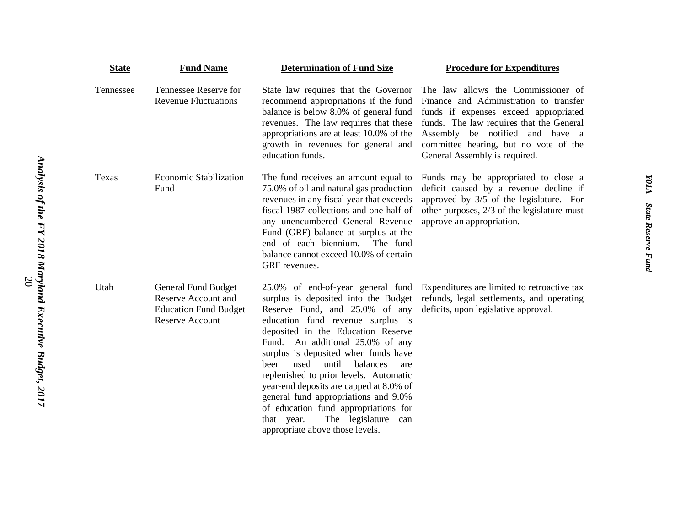| <b>State</b> | <b>Fund Name</b>                                                                                                   | <b>Determination of Fund Size</b>                                                                                                                                                                                                                                                                                                                                                                                                                                                                                                                                 | <b>Procedure for Expenditures</b>                                                                                                                                                                                                                                              |
|--------------|--------------------------------------------------------------------------------------------------------------------|-------------------------------------------------------------------------------------------------------------------------------------------------------------------------------------------------------------------------------------------------------------------------------------------------------------------------------------------------------------------------------------------------------------------------------------------------------------------------------------------------------------------------------------------------------------------|--------------------------------------------------------------------------------------------------------------------------------------------------------------------------------------------------------------------------------------------------------------------------------|
| Tennessee    | Tennessee Reserve for<br><b>Revenue Fluctuations</b>                                                               | State law requires that the Governor<br>recommend appropriations if the fund<br>balance is below 8.0% of general fund<br>revenues. The law requires that these<br>appropriations are at least 10.0% of the<br>growth in revenues for general and<br>education funds.                                                                                                                                                                                                                                                                                              | The law allows the Commissioner of<br>Finance and Administration to transfer<br>funds if expenses exceed appropriated<br>funds. The law requires that the General<br>Assembly be notified and have a<br>committee hearing, but no vote of the<br>General Assembly is required. |
| Texas        | <b>Economic Stabilization</b><br>Fund                                                                              | The fund receives an amount equal to<br>75.0% of oil and natural gas production<br>revenues in any fiscal year that exceeds<br>fiscal 1987 collections and one-half of<br>any unencumbered General Revenue<br>Fund (GRF) balance at surplus at the<br>end of each biennium.<br>The fund<br>balance cannot exceed 10.0% of certain<br>GRF revenues.                                                                                                                                                                                                                | Funds may be appropriated to close a<br>deficit caused by a revenue decline if<br>approved by 3/5 of the legislature. For<br>other purposes, 2/3 of the legislature must<br>approve an appropriation.                                                                          |
| Utah         | <b>General Fund Budget</b><br><b>Reserve Account and</b><br><b>Education Fund Budget</b><br><b>Reserve Account</b> | 25.0% of end-of-year general fund<br>surplus is deposited into the Budget<br>Reserve Fund, and 25.0% of any<br>education fund revenue surplus is<br>deposited in the Education Reserve<br>An additional 25.0% of any<br>Fund.<br>surplus is deposited when funds have<br>used<br>until<br>balances<br>been<br>are<br>replenished to prior levels. Automatic<br>year-end deposits are capped at 8.0% of<br>general fund appropriations and 9.0%<br>of education fund appropriations for<br>The legislature<br>that year.<br>can<br>appropriate above those levels. | Expenditures are limited to retroactive tax<br>refunds, legal settlements, and operating<br>deficits, upon legislative approval.                                                                                                                                               |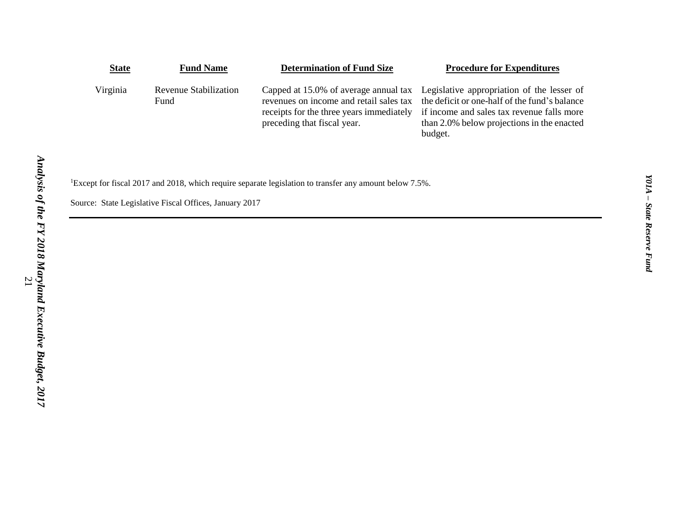| <b>State</b> | <b>Fund Name</b>              | <b>Determination of Fund Size</b>                                                                                  | <b>Procedure for Expenditures</b>                                                                                                                                                                                                        |
|--------------|-------------------------------|--------------------------------------------------------------------------------------------------------------------|------------------------------------------------------------------------------------------------------------------------------------------------------------------------------------------------------------------------------------------|
| Virginia     | Revenue Stabilization<br>Fund | revenues on income and retail sales tax<br>receipts for the three years immediately<br>preceding that fiscal year. | Capped at 15.0% of average annual tax Legislative appropriation of the lesser of<br>the deficit or one-half of the fund's balance<br>if income and sales tax revenue falls more<br>than 2.0% below projections in the enacted<br>budget. |

<sup>1</sup>Except for fiscal 2017 and 2018, which require separate legislation to transfer any amount below 7.5%.

Source: State Legislative Fiscal Offices, January 2017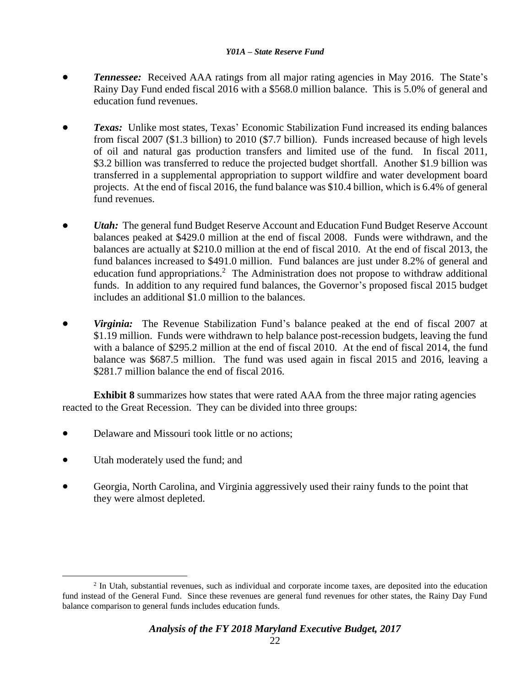- *Tennessee:* Received AAA ratings from all major rating agencies in May 2016. The State's Rainy Day Fund ended fiscal 2016 with a \$568.0 million balance. This is 5.0% of general and education fund revenues.
- **Texas:** Unlike most states, Texas' Economic Stabilization Fund increased its ending balances from fiscal 2007 (\$1.3 billion) to 2010 (\$7.7 billion). Funds increased because of high levels of oil and natural gas production transfers and limited use of the fund. In fiscal 2011, \$3.2 billion was transferred to reduce the projected budget shortfall. Another \$1.9 billion was transferred in a supplemental appropriation to support wildfire and water development board projects. At the end of fiscal 2016, the fund balance was \$10.4 billion, which is 6.4% of general fund revenues.
- *Utah:* The general fund Budget Reserve Account and Education Fund Budget Reserve Account balances peaked at \$429.0 million at the end of fiscal 2008. Funds were withdrawn, and the balances are actually at \$210.0 million at the end of fiscal 2010. At the end of fiscal 2013, the fund balances increased to \$491.0 million. Fund balances are just under 8.2% of general and education fund appropriations.<sup>2</sup> The Administration does not propose to withdraw additional funds. In addition to any required fund balances, the Governor's proposed fiscal 2015 budget includes an additional \$1.0 million to the balances.
- *Virginia:* The Revenue Stabilization Fund's balance peaked at the end of fiscal 2007 at \$1.19 million. Funds were withdrawn to help balance post-recession budgets, leaving the fund with a balance of \$295.2 million at the end of fiscal 2010. At the end of fiscal 2014, the fund balance was \$687.5 million. The fund was used again in fiscal 2015 and 2016, leaving a \$281.7 million balance the end of fiscal 2016.

**Exhibit 8** summarizes how states that were rated AAA from the three major rating agencies reacted to the Great Recession. They can be divided into three groups:

- Delaware and Missouri took little or no actions;
- Utah moderately used the fund; and

 $\overline{a}$ 

 Georgia, North Carolina, and Virginia aggressively used their rainy funds to the point that they were almost depleted.

<sup>&</sup>lt;sup>2</sup> In Utah, substantial revenues, such as individual and corporate income taxes, are deposited into the education fund instead of the General Fund. Since these revenues are general fund revenues for other states, the Rainy Day Fund balance comparison to general funds includes education funds.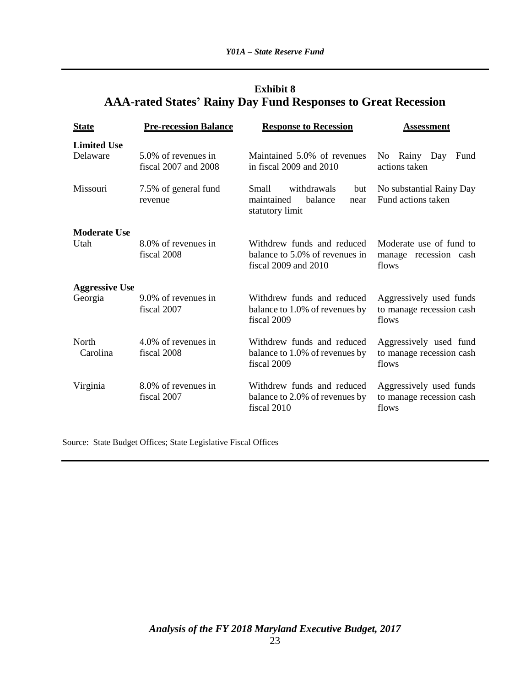### **Exhibit 8 AAA-rated States' Rainy Day Fund Responses to Great Recession**

| <b>State</b>                     | <b>Pre-recession Balance</b>                | <b>Response to Recession</b>                                                         | <b>Assessment</b>                                            |
|----------------------------------|---------------------------------------------|--------------------------------------------------------------------------------------|--------------------------------------------------------------|
| <b>Limited Use</b><br>Delaware   | 5.0% of revenues in<br>fiscal 2007 and 2008 | Maintained 5.0% of revenues<br>in fiscal 2009 and 2010                               | No Rainy Day<br>Fund<br>actions taken                        |
| Missouri                         | 7.5% of general fund<br>revenue             | withdrawals<br>Small<br>but<br>balance<br>maintained<br>near<br>statutory limit      | No substantial Rainy Day<br>Fund actions taken               |
| <b>Moderate Use</b><br>Utah      | 8.0% of revenues in<br>fiscal 2008          | Withdrew funds and reduced<br>balance to 5.0% of revenues in<br>fiscal 2009 and 2010 | Moderate use of fund to<br>manage recession cash<br>flows    |
| <b>Aggressive Use</b><br>Georgia | 9.0% of revenues in<br>fiscal 2007          | Withdrew funds and reduced<br>balance to 1.0% of revenues by<br>fiscal 2009          | Aggressively used funds<br>to manage recession cash<br>flows |
| North<br>Carolina                | 4.0% of revenues in<br>fiscal 2008          | Withdrew funds and reduced<br>balance to 1.0% of revenues by<br>fiscal 2009          | Aggressively used fund<br>to manage recession cash<br>flows  |
| Virginia                         | 8.0% of revenues in<br>fiscal 2007          | Withdrew funds and reduced<br>balance to 2.0% of revenues by<br>fiscal 2010          | Aggressively used funds<br>to manage recession cash<br>flows |

Source: State Budget Offices; State Legislative Fiscal Offices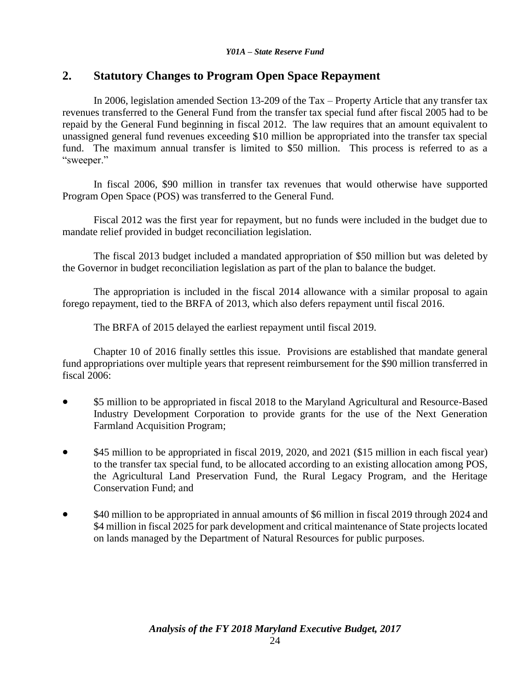### **2. Statutory Changes to Program Open Space Repayment**

In 2006, legislation amended Section 13-209 of the Tax – Property Article that any transfer tax revenues transferred to the General Fund from the transfer tax special fund after fiscal 2005 had to be repaid by the General Fund beginning in fiscal 2012. The law requires that an amount equivalent to unassigned general fund revenues exceeding \$10 million be appropriated into the transfer tax special fund. The maximum annual transfer is limited to \$50 million. This process is referred to as a "sweeper."

In fiscal 2006, \$90 million in transfer tax revenues that would otherwise have supported Program Open Space (POS) was transferred to the General Fund.

Fiscal 2012 was the first year for repayment, but no funds were included in the budget due to mandate relief provided in budget reconciliation legislation.

The fiscal 2013 budget included a mandated appropriation of \$50 million but was deleted by the Governor in budget reconciliation legislation as part of the plan to balance the budget.

The appropriation is included in the fiscal 2014 allowance with a similar proposal to again forego repayment, tied to the BRFA of 2013, which also defers repayment until fiscal 2016.

The BRFA of 2015 delayed the earliest repayment until fiscal 2019.

Chapter 10 of 2016 finally settles this issue. Provisions are established that mandate general fund appropriations over multiple years that represent reimbursement for the \$90 million transferred in fiscal 2006:

- \$5 million to be appropriated in fiscal 2018 to the Maryland Agricultural and Resource-Based Industry Development Corporation to provide grants for the use of the Next Generation Farmland Acquisition Program;
- \$45 million to be appropriated in fiscal 2019, 2020, and 2021 (\$15 million in each fiscal year) to the transfer tax special fund, to be allocated according to an existing allocation among POS, the Agricultural Land Preservation Fund, the Rural Legacy Program, and the Heritage Conservation Fund; and
- \$40 million to be appropriated in annual amounts of \$6 million in fiscal 2019 through 2024 and \$4 million in fiscal 2025 for park development and critical maintenance of State projects located on lands managed by the Department of Natural Resources for public purposes.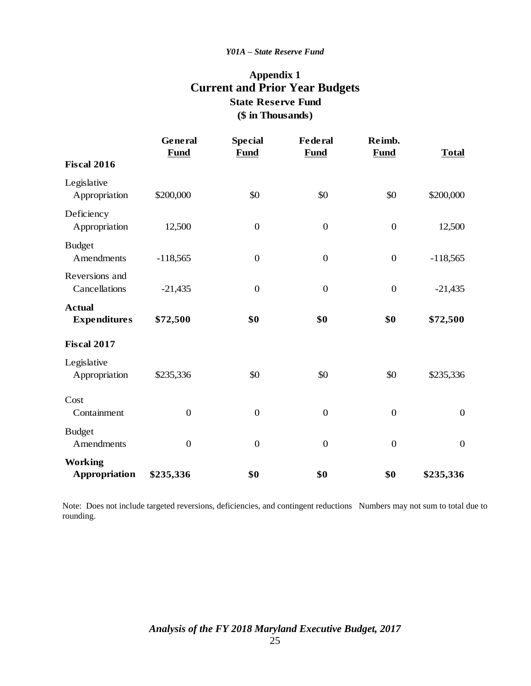### **Appendix 1 Current and Prior Year Budgets (\$ in Thousands) State Reserve Fund**

|                                        | General<br><b>Fund</b> | <b>Special</b><br><b>Fund</b> | Federal<br><b>Fund</b> | Reimb.<br><b>Fund</b> | <b>Total</b> |
|----------------------------------------|------------------------|-------------------------------|------------------------|-----------------------|--------------|
| <b>Fiscal 2016</b>                     |                        |                               |                        |                       |              |
| Legislative<br>Appropriation           | \$200,000              | \$0                           | \$0                    | \$0                   | \$200,000    |
| Deficiency<br>Appropriation            | 12,500                 | $\boldsymbol{0}$              | $\boldsymbol{0}$       | $\boldsymbol{0}$      | 12,500       |
| <b>Budget</b><br>Amendments            | $-118,565$             | $\overline{0}$                | $\boldsymbol{0}$       | $\boldsymbol{0}$      | $-118,565$   |
| Reversions and<br>Cancellations        | $-21,435$              | $\overline{0}$                | $\boldsymbol{0}$       | $\boldsymbol{0}$      | $-21,435$    |
| <b>Actual</b><br><b>Expenditures</b>   | \$72,500               | \$0                           | \$0                    | \$0                   | \$72,500     |
| <b>Fiscal 2017</b>                     |                        |                               |                        |                       |              |
| Legislative<br>Appropriation           | \$235,336              | \$0                           | \$0                    | \$0                   | \$235,336    |
| Cost<br>Containment                    | $\boldsymbol{0}$       | $\overline{0}$                | $\boldsymbol{0}$       | $\boldsymbol{0}$      | $\mathbf{0}$ |
| <b>Budget</b><br>Amendments            | $\overline{0}$         | $\overline{0}$                | $\overline{0}$         | $\overline{0}$        | $\mathbf{0}$ |
| <b>Working</b><br><b>Appropriation</b> | \$235,336              | \$0                           | \$0                    | \$0                   | \$235,336    |

Note: Does not include targeted reversions, deficiencies, and contingent reductions Numbers may not sum to total due to rounding.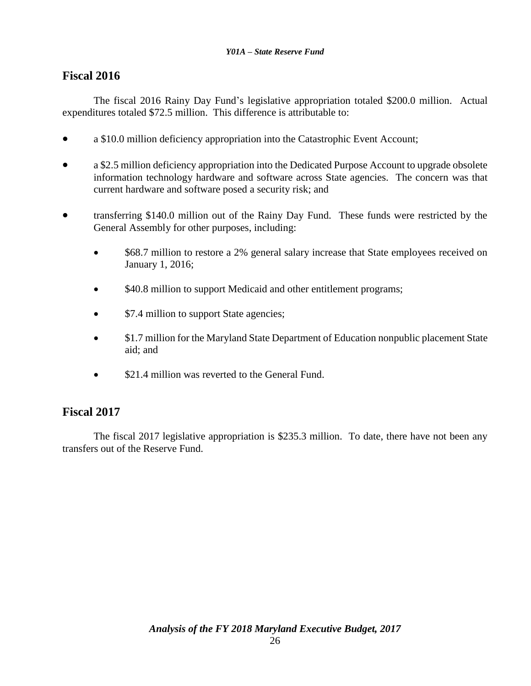### **Fiscal 2016**

The fiscal 2016 Rainy Day Fund's legislative appropriation totaled \$200.0 million. Actual expenditures totaled \$72.5 million. This difference is attributable to:

- a \$10.0 million deficiency appropriation into the Catastrophic Event Account;
- a \$2.5 million deficiency appropriation into the Dedicated Purpose Account to upgrade obsolete information technology hardware and software across State agencies. The concern was that current hardware and software posed a security risk; and
- transferring \$140.0 million out of the Rainy Day Fund. These funds were restricted by the General Assembly for other purposes, including:
	- \$68.7 million to restore a 2% general salary increase that State employees received on January 1, 2016;
	- $$40.8$  million to support Medicaid and other entitlement programs;
	- \$7.4 million to support State agencies;
	- $$1.7$  million for the Maryland State Department of Education nonpublic placement State aid; and
	- \$21.4 million was reverted to the General Fund.

### **Fiscal 2017**

The fiscal 2017 legislative appropriation is \$235.3 million. To date, there have not been any transfers out of the Reserve Fund.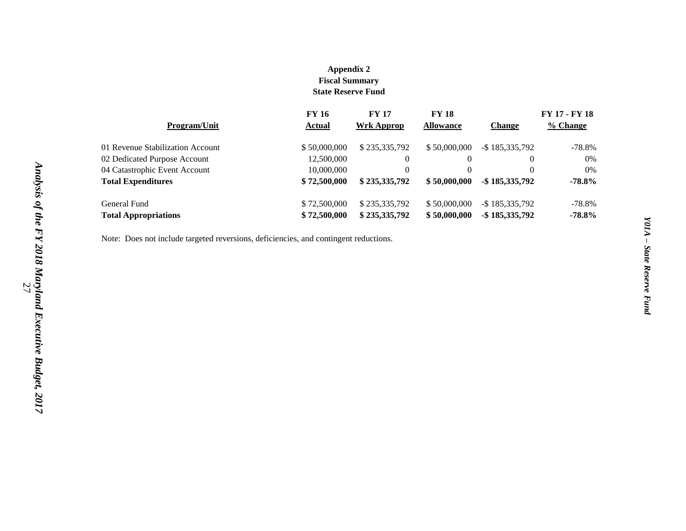#### **Appendix 2 Fiscal Summary State Reserve Fund**

|                                  | <b>FY 16</b>  | <b>FY 17</b>  | <b>FY 18</b>     |                   | FY 17 - FY 18 |
|----------------------------------|---------------|---------------|------------------|-------------------|---------------|
| <b>Program/Unit</b>              | <b>Actual</b> | Wrk Approp    | <b>Allowance</b> | <b>Change</b>     | % Change      |
| 01 Revenue Stabilization Account | \$50,000,000  | \$235,335,792 | \$50,000,000     | $-$ \$185.335.792 | $-78.8%$      |
| 02 Dedicated Purpose Account     | 12,500,000    | 0             |                  |                   | 0%            |
| 04 Catastrophic Event Account    | 10,000,000    | $\theta$      |                  |                   | 0%            |
| <b>Total Expenditures</b>        | \$72,500,000  | \$235,335,792 | \$50,000,000     | $-$ \$185,335,792 | $-78.8%$      |
| General Fund                     | \$72,500,000  | \$235,335,792 | \$50,000,000     | $-$ \$185,335,792 | $-78.8%$      |
| <b>Total Appropriations</b>      | \$72,500,000  | \$235,335,792 | \$50,000,000     | $-$ \$185,335,792 | $-78.8%$      |

Note: Does not include targeted reversions, deficiencies, and contingent reductions.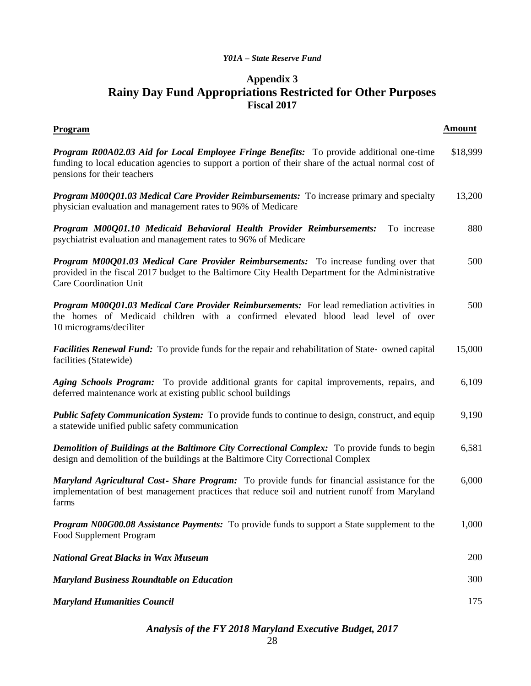### **Appendix 3 Rainy Day Fund Appropriations Restricted for Other Purposes Fiscal 2017**

| <b>Program</b>                                                                                                                                                                                                                         | <b>Amount</b> |
|----------------------------------------------------------------------------------------------------------------------------------------------------------------------------------------------------------------------------------------|---------------|
| <b>Program R00A02.03 Aid for Local Employee Fringe Benefits:</b> To provide additional one-time<br>funding to local education agencies to support a portion of their share of the actual normal cost of<br>pensions for their teachers | \$18,999      |
| <b>Program M00Q01.03 Medical Care Provider Reimbursements:</b> To increase primary and specialty<br>physician evaluation and management rates to 96% of Medicare                                                                       | 13,200        |
| Program M00Q01.10 Medicaid Behavioral Health Provider Reimbursements:<br>To increase<br>psychiatrist evaluation and management rates to 96% of Medicare                                                                                | 880           |
| <b>Program M00Q01.03 Medical Care Provider Reimbursements:</b> To increase funding over that<br>provided in the fiscal 2017 budget to the Baltimore City Health Department for the Administrative<br>Care Coordination Unit            | 500           |
| <b>Program M00Q01.03 Medical Care Provider Reimbursements:</b> For lead remediation activities in<br>the homes of Medicaid children with a confirmed elevated blood lead level of over<br>10 micrograms/deciliter                      | 500           |
| <b>Facilities Renewal Fund:</b> To provide funds for the repair and rehabilitation of State- owned capital<br>facilities (Statewide)                                                                                                   | 15,000        |
| Aging Schools Program: To provide additional grants for capital improvements, repairs, and<br>deferred maintenance work at existing public school buildings                                                                            | 6,109         |
| <b>Public Safety Communication System:</b> To provide funds to continue to design, construct, and equip<br>a statewide unified public safety communication                                                                             | 9,190         |
| <b>Demolition of Buildings at the Baltimore City Correctional Complex:</b> To provide funds to begin<br>design and demolition of the buildings at the Baltimore City Correctional Complex                                              | 6,581         |
| Maryland Agricultural Cost- Share Program: To provide funds for financial assistance for the<br>implementation of best management practices that reduce soil and nutrient runoff from Maryland<br>farms                                | 6,000         |
| Program N00G00.08 Assistance Payments: To provide funds to support a State supplement to the<br>Food Supplement Program                                                                                                                | 1,000         |
| <b>National Great Blacks in Wax Museum</b>                                                                                                                                                                                             | 200           |
| <b>Maryland Business Roundtable on Education</b>                                                                                                                                                                                       | 300           |
| <b>Maryland Humanities Council</b>                                                                                                                                                                                                     | 175           |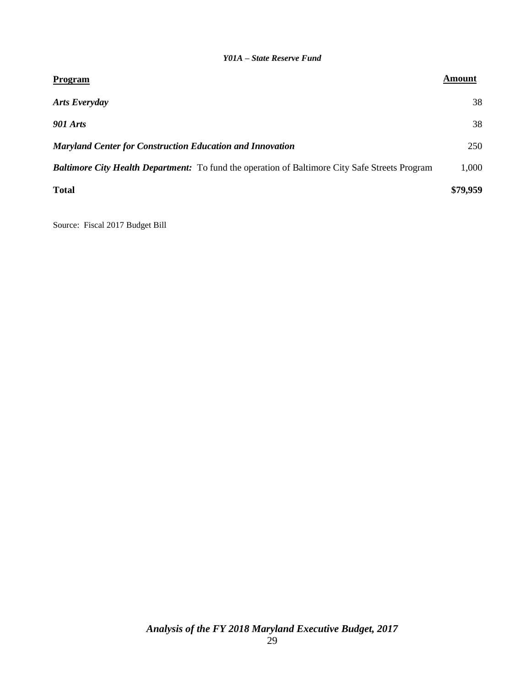| <b>Program</b>                                                                                        | Amount   |
|-------------------------------------------------------------------------------------------------------|----------|
| <b>Arts Everyday</b>                                                                                  | 38       |
| <b>901 Arts</b>                                                                                       | 38       |
| <b>Maryland Center for Construction Education and Innovation</b>                                      | 250      |
| <b>Baltimore City Health Department:</b> To fund the operation of Baltimore City Safe Streets Program | 1,000    |
| <b>Total</b>                                                                                          | \$79,959 |

Source: Fiscal 2017 Budget Bill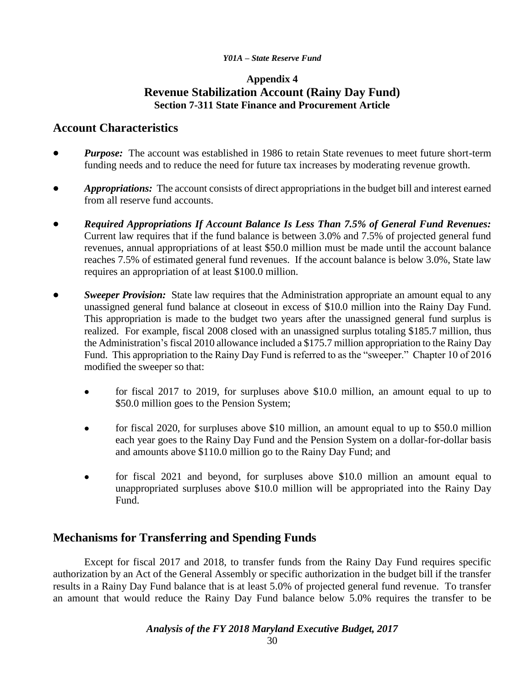### **Appendix 4 Revenue Stabilization Account (Rainy Day Fund) Section 7-311 State Finance and Procurement Article**

### **Account Characteristics**

- *Purpose:* The account was established in 1986 to retain State revenues to meet future short-term funding needs and to reduce the need for future tax increases by moderating revenue growth.
- *Appropriations:* The account consists of direct appropriations in the budget bill and interest earned from all reserve fund accounts.
- *Required Appropriations If Account Balance Is Less Than 7.5% of General Fund Revenues:* Current law requires that if the fund balance is between 3.0% and 7.5% of projected general fund revenues, annual appropriations of at least \$50.0 million must be made until the account balance reaches 7.5% of estimated general fund revenues. If the account balance is below 3.0%, State law requires an appropriation of at least \$100.0 million.
- *Sweeper Provision:* State law requires that the Administration appropriate an amount equal to any unassigned general fund balance at closeout in excess of \$10.0 million into the Rainy Day Fund. This appropriation is made to the budget two years after the unassigned general fund surplus is realized. For example, fiscal 2008 closed with an unassigned surplus totaling \$185.7 million, thus the Administration's fiscal 2010 allowance included a \$175.7 million appropriation to the Rainy Day Fund. This appropriation to the Rainy Day Fund is referred to as the "sweeper." Chapter 10 of 2016 modified the sweeper so that:
	- for fiscal 2017 to 2019, for surpluses above \$10.0 million, an amount equal to up to \$50.0 million goes to the Pension System;
	- for fiscal 2020, for surpluses above \$10 million, an amount equal to up to \$50.0 million each year goes to the Rainy Day Fund and the Pension System on a dollar-for-dollar basis and amounts above \$110.0 million go to the Rainy Day Fund; and
	- for fiscal 2021 and beyond, for surpluses above \$10.0 million an amount equal to unappropriated surpluses above \$10.0 million will be appropriated into the Rainy Day Fund.

### **Mechanisms for Transferring and Spending Funds**

Except for fiscal 2017 and 2018, to transfer funds from the Rainy Day Fund requires specific authorization by an Act of the General Assembly or specific authorization in the budget bill if the transfer results in a Rainy Day Fund balance that is at least 5.0% of projected general fund revenue. To transfer an amount that would reduce the Rainy Day Fund balance below 5.0% requires the transfer to be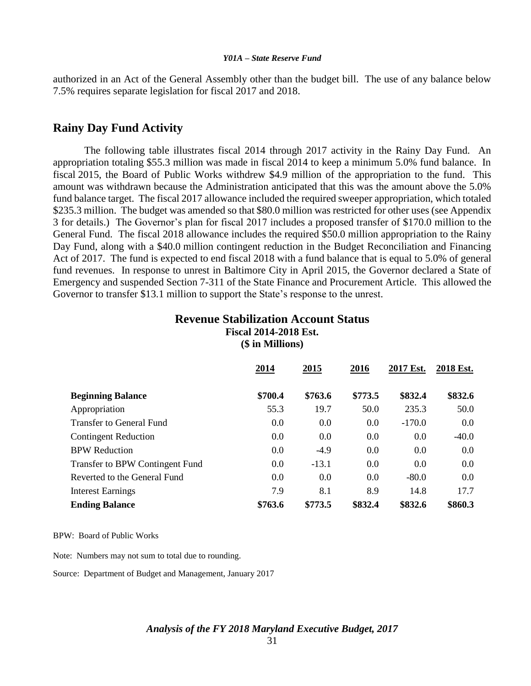authorized in an Act of the General Assembly other than the budget bill. The use of any balance below 7.5% requires separate legislation for fiscal 2017 and 2018.

### **Rainy Day Fund Activity**

The following table illustrates fiscal 2014 through 2017 activity in the Rainy Day Fund. An appropriation totaling \$55.3 million was made in fiscal 2014 to keep a minimum 5.0% fund balance. In fiscal 2015, the Board of Public Works withdrew \$4.9 million of the appropriation to the fund. This amount was withdrawn because the Administration anticipated that this was the amount above the 5.0% fund balance target. The fiscal 2017 allowance included the required sweeper appropriation, which totaled \$235.3 million. The budget was amended so that \$80.0 million was restricted for other uses (see Appendix 3 for details.) The Governor's plan for fiscal 2017 includes a proposed transfer of \$170.0 million to the General Fund. The fiscal 2018 allowance includes the required \$50.0 million appropriation to the Rainy Day Fund, along with a \$40.0 million contingent reduction in the Budget Reconciliation and Financing Act of 2017. The fund is expected to end fiscal 2018 with a fund balance that is equal to 5.0% of general fund revenues. In response to unrest in Baltimore City in April 2015, the Governor declared a State of Emergency and suspended Section 7-311 of the State Finance and Procurement Article. This allowed the Governor to transfer \$13.1 million to support the State's response to the unrest.

### **Revenue Stabilization Account Status Fiscal 2014-2018 Est. (\$ in Millions)**

|                                 | 2014    | 2015    | 2016    | 2017 Est. | 2018 Est. |
|---------------------------------|---------|---------|---------|-----------|-----------|
| <b>Beginning Balance</b>        | \$700.4 | \$763.6 | \$773.5 | \$832.4   | \$832.6   |
| Appropriation                   | 55.3    | 19.7    | 50.0    | 235.3     | 50.0      |
| <b>Transfer to General Fund</b> | 0.0     | 0.0     | 0.0     | $-170.0$  | 0.0       |
| <b>Contingent Reduction</b>     | 0.0     | 0.0     | 0.0     | 0.0       | $-40.0$   |
| <b>BPW Reduction</b>            | 0.0     | $-4.9$  | 0.0     | 0.0       | 0.0       |
| Transfer to BPW Contingent Fund | 0.0     | $-13.1$ | 0.0     | 0.0       | 0.0       |
| Reverted to the General Fund    | 0.0     | 0.0     | 0.0     | $-80.0$   | 0.0       |
| <b>Interest Earnings</b>        | 7.9     | 8.1     | 8.9     | 14.8      | 17.7      |
| <b>Ending Balance</b>           | \$763.6 | \$773.5 | \$832.4 | \$832.6   | \$860.3   |

BPW: Board of Public Works

Note: Numbers may not sum to total due to rounding.

Source: Department of Budget and Management, January 2017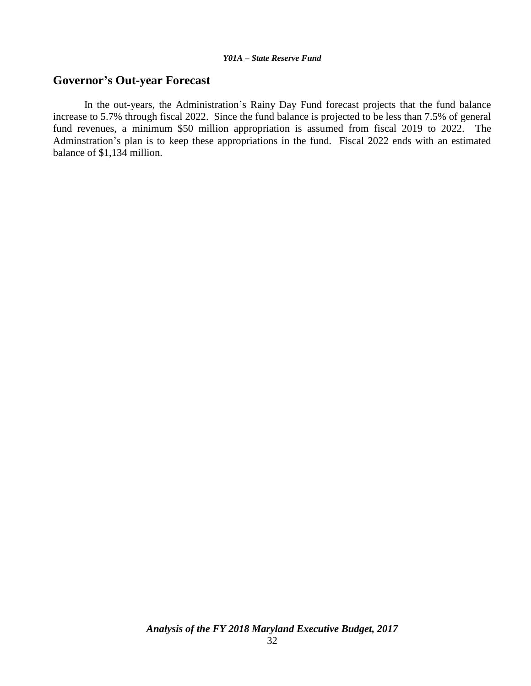### **Governor's Out-year Forecast**

In the out-years, the Administration's Rainy Day Fund forecast projects that the fund balance increase to 5.7% through fiscal 2022. Since the fund balance is projected to be less than 7.5% of general fund revenues, a minimum \$50 million appropriation is assumed from fiscal 2019 to 2022. The Adminstration's plan is to keep these appropriations in the fund. Fiscal 2022 ends with an estimated balance of \$1,134 million.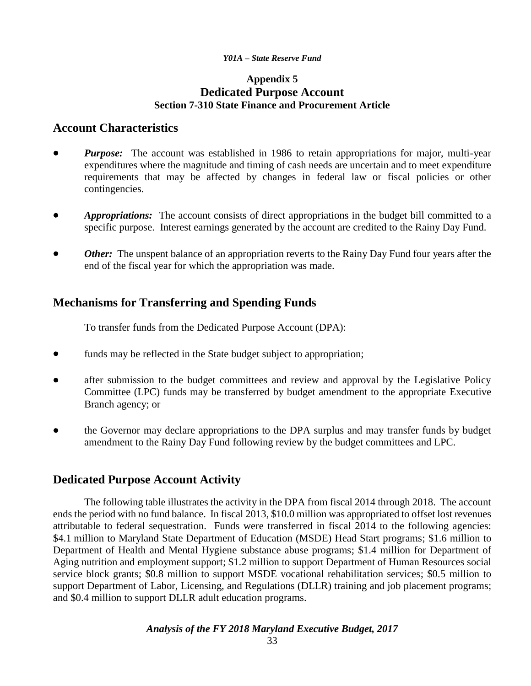### **Appendix 5 Dedicated Purpose Account Section 7-310 State Finance and Procurement Article**

### **Account Characteristics**

- *Purpose:* The account was established in 1986 to retain appropriations for major, multi-year expenditures where the magnitude and timing of cash needs are uncertain and to meet expenditure requirements that may be affected by changes in federal law or fiscal policies or other contingencies.
- *Appropriations:* The account consists of direct appropriations in the budget bill committed to a specific purpose. Interest earnings generated by the account are credited to the Rainy Day Fund.
- *Other:* The unspent balance of an appropriation reverts to the Rainy Day Fund four years after the end of the fiscal year for which the appropriation was made.

### **Mechanisms for Transferring and Spending Funds**

To transfer funds from the Dedicated Purpose Account (DPA):

- funds may be reflected in the State budget subject to appropriation;
- after submission to the budget committees and review and approval by the Legislative Policy Committee (LPC) funds may be transferred by budget amendment to the appropriate Executive Branch agency; or
- the Governor may declare appropriations to the DPA surplus and may transfer funds by budget amendment to the Rainy Day Fund following review by the budget committees and LPC.

### **Dedicated Purpose Account Activity**

The following table illustrates the activity in the DPA from fiscal 2014 through 2018. The account ends the period with no fund balance. In fiscal 2013, \$10.0 million was appropriated to offset lost revenues attributable to federal sequestration. Funds were transferred in fiscal 2014 to the following agencies: \$4.1 million to Maryland State Department of Education (MSDE) Head Start programs; \$1.6 million to Department of Health and Mental Hygiene substance abuse programs; \$1.4 million for Department of Aging nutrition and employment support; \$1.2 million to support Department of Human Resources social service block grants; \$0.8 million to support MSDE vocational rehabilitation services; \$0.5 million to support Department of Labor, Licensing, and Regulations (DLLR) training and job placement programs; and \$0.4 million to support DLLR adult education programs.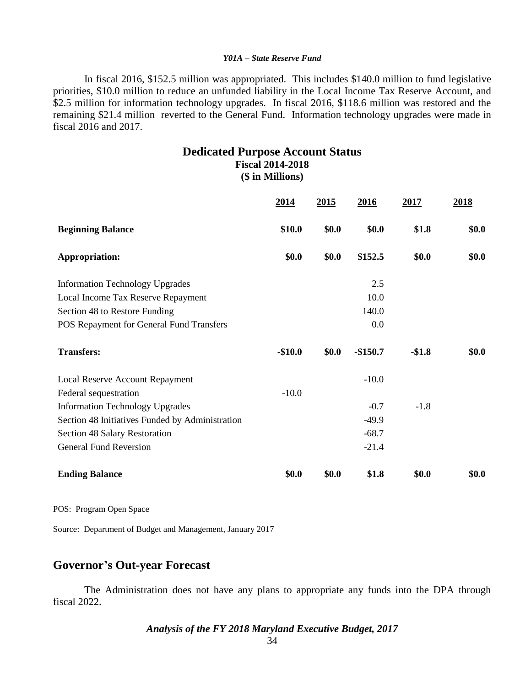In fiscal 2016, \$152.5 million was appropriated. This includes \$140.0 million to fund legislative priorities, \$10.0 million to reduce an unfunded liability in the Local Income Tax Reserve Account, and \$2.5 million for information technology upgrades. In fiscal 2016, \$118.6 million was restored and the remaining \$21.4 million reverted to the General Fund. Information technology upgrades were made in fiscal 2016 and 2017.

#### **Dedicated Purpose Account Status Fiscal 2014-2018 (\$ in Millions)**

|                                                 | 2014     | 2015  | 2016      | 2017    | 2018  |
|-------------------------------------------------|----------|-------|-----------|---------|-------|
| <b>Beginning Balance</b>                        | \$10.0   | \$0.0 | \$0.0     | \$1.8   | \$0.0 |
| <b>Appropriation:</b>                           | \$0.0    | \$0.0 | \$152.5   | \$0.0   | \$0.0 |
| <b>Information Technology Upgrades</b>          |          |       | 2.5       |         |       |
| Local Income Tax Reserve Repayment              |          |       | 10.0      |         |       |
| Section 48 to Restore Funding                   |          |       | 140.0     |         |       |
| POS Repayment for General Fund Transfers        |          |       | 0.0       |         |       |
| <b>Transfers:</b>                               | $-$10.0$ | \$0.0 | $-$150.7$ | $-$1.8$ | \$0.0 |
| Local Reserve Account Repayment                 |          |       | $-10.0$   |         |       |
| Federal sequestration                           | $-10.0$  |       |           |         |       |
| <b>Information Technology Upgrades</b>          |          |       | $-0.7$    | $-1.8$  |       |
| Section 48 Initiatives Funded by Administration |          |       | $-49.9$   |         |       |
| Section 48 Salary Restoration                   |          |       | $-68.7$   |         |       |
| <b>General Fund Reversion</b>                   |          |       | $-21.4$   |         |       |
| <b>Ending Balance</b>                           | \$0.0    | \$0.0 | \$1.8     | \$0.0   | \$0.0 |

POS: Program Open Space

Source: Department of Budget and Management, January 2017

### **Governor's Out-year Forecast**

The Administration does not have any plans to appropriate any funds into the DPA through fiscal 2022.